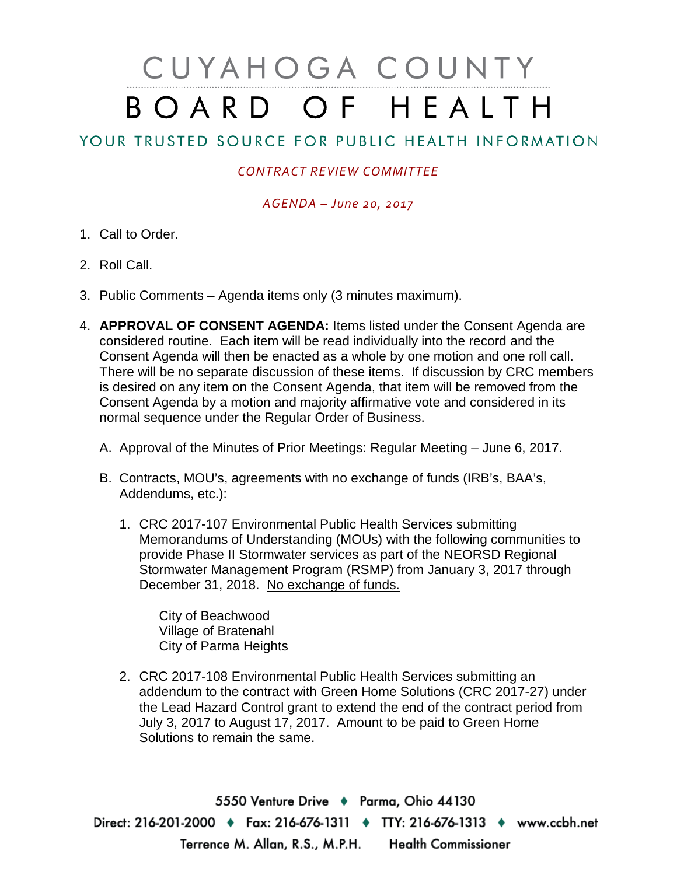# CUYAHOGA COUNTY BOARD OF HEALTH

# YOUR TRUSTED SOURCE FOR PUBLIC HEALTH INFORMATION

## *CONTRACT REVIEW COMMITTEE*

### *AGENDA – June 20, 2017*

- 1. Call to Order.
- 2. Roll Call.
- 3. Public Comments Agenda items only (3 minutes maximum).
- 4. **APPROVAL OF CONSENT AGENDA:** Items listed under the Consent Agenda are considered routine. Each item will be read individually into the record and the Consent Agenda will then be enacted as a whole by one motion and one roll call. There will be no separate discussion of these items. If discussion by CRC members is desired on any item on the Consent Agenda, that item will be removed from the Consent Agenda by a motion and majority affirmative vote and considered in its normal sequence under the Regular Order of Business.
	- A. Approval of the Minutes of Prior Meetings: Regular Meeting June 6, 2017.
	- B. Contracts, MOU's, agreements with no exchange of funds (IRB's, BAA's, Addendums, etc.):
		- 1. CRC 2017-107 Environmental Public Health Services submitting Memorandums of Understanding (MOUs) with the following communities to provide Phase II Stormwater services as part of the NEORSD Regional Stormwater Management Program (RSMP) from January 3, 2017 through December 31, 2018. No exchange of funds.

City of Beachwood Village of Bratenahl City of Parma Heights

2. CRC 2017-108 Environmental Public Health Services submitting an addendum to the contract with Green Home Solutions (CRC 2017-27) under the Lead Hazard Control grant to extend the end of the contract period from July 3, 2017 to August 17, 2017. Amount to be paid to Green Home Solutions to remain the same.

5550 Venture Drive + Parma, Ohio 44130 Direct: 216-201-2000 • Fax: 216-676-1311 • TTY: 216-676-1313 • www.ccbh.net Terrence M. Allan, R.S., M.P.H. Health Commissioner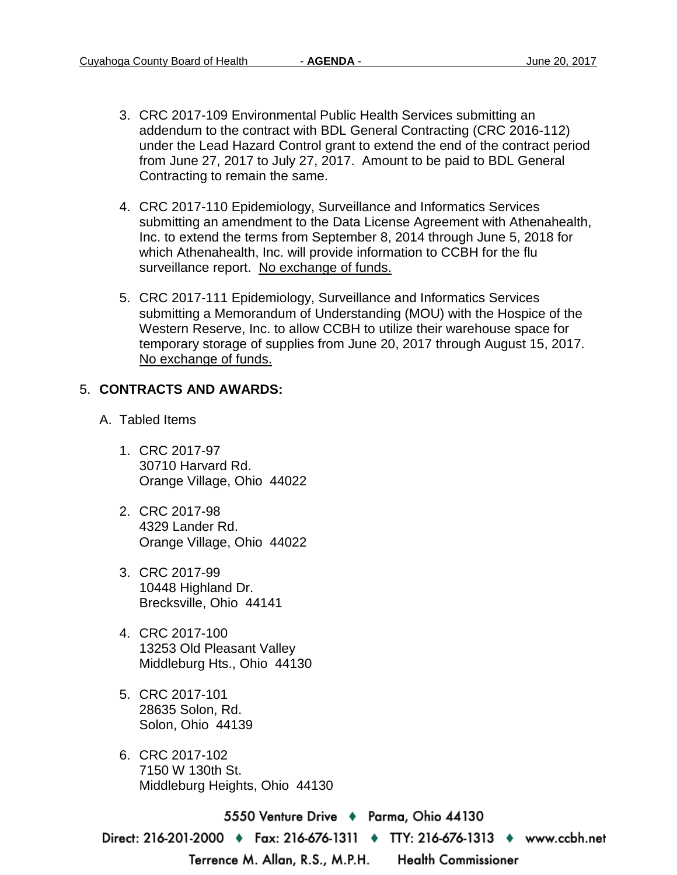- 3. CRC 2017-109 Environmental Public Health Services submitting an addendum to the contract with BDL General Contracting (CRC 2016-112) under the Lead Hazard Control grant to extend the end of the contract period from June 27, 2017 to July 27, 2017. Amount to be paid to BDL General Contracting to remain the same.
- 4. CRC 2017-110 Epidemiology, Surveillance and Informatics Services submitting an amendment to the Data License Agreement with Athenahealth, Inc. to extend the terms from September 8, 2014 through June 5, 2018 for which Athenahealth, Inc. will provide information to CCBH for the flu surveillance report. No exchange of funds.
- 5. CRC 2017-111 Epidemiology, Surveillance and Informatics Services submitting a Memorandum of Understanding (MOU) with the Hospice of the Western Reserve, Inc. to allow CCBH to utilize their warehouse space for temporary storage of supplies from June 20, 2017 through August 15, 2017. No exchange of funds.

#### 5. **CONTRACTS AND AWARDS:**

- A. Tabled Items
	- 1. CRC 2017-97 30710 Harvard Rd. Orange Village, Ohio 44022
	- 2. CRC 2017-98 4329 Lander Rd. Orange Village, Ohio 44022
	- 3. CRC 2017-99 10448 Highland Dr. Brecksville, Ohio 44141
	- 4. CRC 2017-100 13253 Old Pleasant Valley Middleburg Hts., Ohio 44130
	- 5. CRC 2017-101 28635 Solon, Rd. Solon, Ohio 44139
	- 6. CRC 2017-102 7150 W 130th St. Middleburg Heights, Ohio 44130

5550 Venture Drive + Parma, Ohio 44130

Direct: 216-201-2000 ♦ Fax: 216-676-1311 ♦ TTY: 216-676-1313 ♦ www.ccbh.net

Terrence M. Allan, R.S., M.P.H.

**Health Commissioner**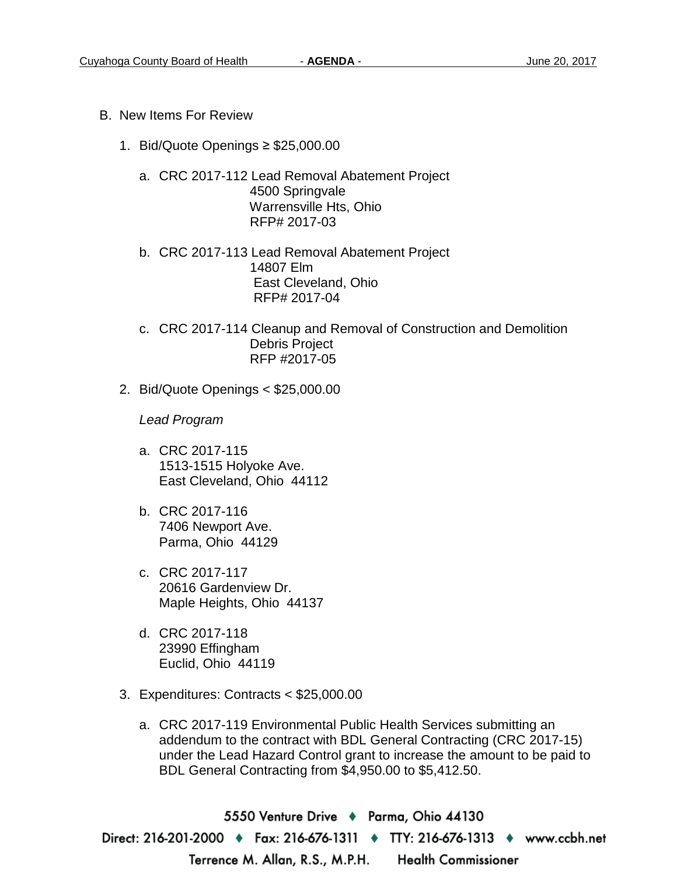- B. New Items For Review
	- 1. Bid/Quote Openings ≥ \$25,000.00
		- a. CRC 2017-112 Lead Removal Abatement Project 4500 Springvale Warrensville Hts, Ohio RFP# 2017-03
		- b. CRC 2017-113 Lead Removal Abatement Project 14807 Elm East Cleveland, Ohio RFP# 2017-04
		- c. CRC 2017-114 Cleanup and Removal of Construction and Demolition Debris Project RFP #2017-05
	- 2. Bid/Quote Openings < \$25,000.00

*Lead Program* 

- a. CRC 2017-115 1513-1515 Holyoke Ave. East Cleveland, Ohio 44112
- b. CRC 2017-116 7406 Newport Ave. Parma, Ohio 44129
- c. CRC 2017-117 20616 Gardenview Dr. Maple Heights, Ohio 44137
- d. CRC 2017-118 23990 Effingham Euclid, Ohio 44119
- 3. Expenditures: Contracts < \$25,000.00
	- a. CRC 2017-119 Environmental Public Health Services submitting an addendum to the contract with BDL General Contracting (CRC 2017-15) under the Lead Hazard Control grant to increase the amount to be paid to BDL General Contracting from \$4,950.00 to \$5,412.50.

5550 Venture Drive → Parma, Ohio 44130 Direct: 216-201-2000 • Fax: 216-676-1311 • TTY: 216-676-1313 • www.ccbh.net Terrence M. Allan, R.S., M.P.H. **Health Commissioner**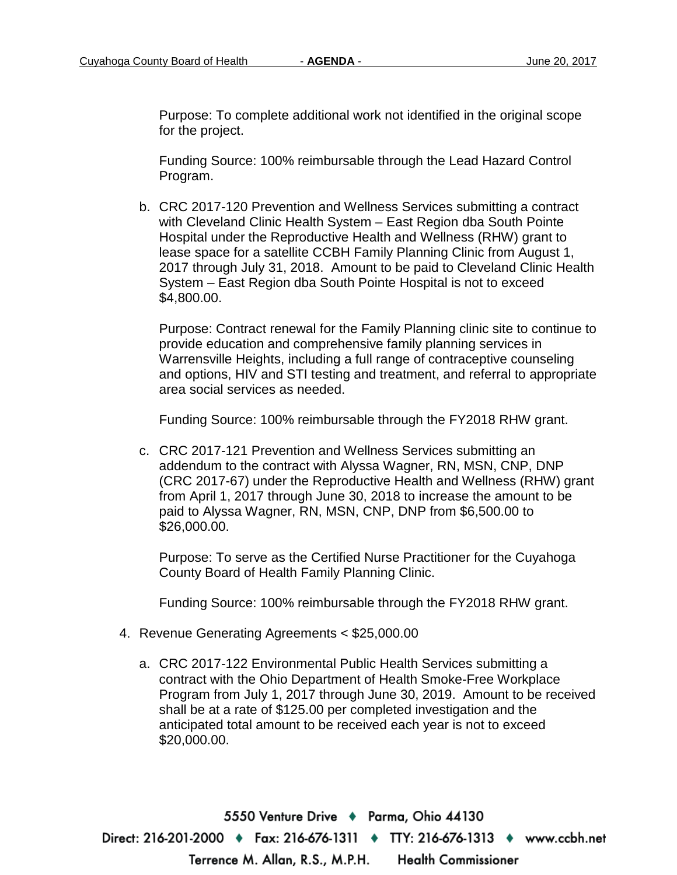Purpose: To complete additional work not identified in the original scope for the project.

Funding Source: 100% reimbursable through the Lead Hazard Control Program.

b. CRC 2017-120 Prevention and Wellness Services submitting a contract with Cleveland Clinic Health System – East Region dba South Pointe Hospital under the Reproductive Health and Wellness (RHW) grant to lease space for a satellite CCBH Family Planning Clinic from August 1, 2017 through July 31, 2018. Amount to be paid to Cleveland Clinic Health System – East Region dba South Pointe Hospital is not to exceed \$4,800.00.

Purpose: Contract renewal for the Family Planning clinic site to continue to provide education and comprehensive family planning services in Warrensville Heights, including a full range of contraceptive counseling and options, HIV and STI testing and treatment, and referral to appropriate area social services as needed.

Funding Source: 100% reimbursable through the FY2018 RHW grant.

c. CRC 2017-121 Prevention and Wellness Services submitting an addendum to the contract with Alyssa Wagner, RN, MSN, CNP, DNP (CRC 2017-67) under the Reproductive Health and Wellness (RHW) grant from April 1, 2017 through June 30, 2018 to increase the amount to be paid to Alyssa Wagner, RN, MSN, CNP, DNP from \$6,500.00 to \$26,000.00.

Purpose: To serve as the Certified Nurse Practitioner for the Cuyahoga County Board of Health Family Planning Clinic.

Funding Source: 100% reimbursable through the FY2018 RHW grant.

- 4. Revenue Generating Agreements < \$25,000.00
	- a. CRC 2017-122 Environmental Public Health Services submitting a contract with the Ohio Department of Health Smoke-Free Workplace Program from July 1, 2017 through June 30, 2019. Amount to be received shall be at a rate of \$125.00 per completed investigation and the anticipated total amount to be received each year is not to exceed \$20,000.00.

5550 Venture Drive + Parma, Ohio 44130 Direct: 216-201-2000 • Fax: 216-676-1311 • TTY: 216-676-1313 • www.ccbh.net Terrence M. Allan, R.S., M.P.H. **Health Commissioner**